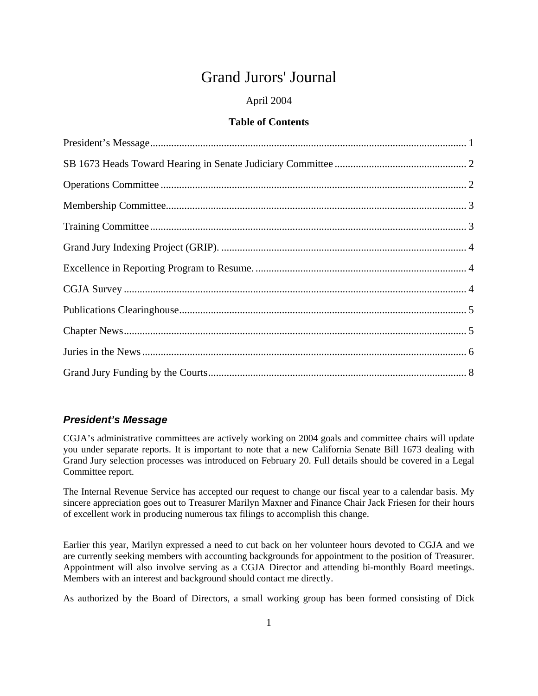# Grand Jurors' Journal

# April 2004

# **Table of Contents**

# <span id="page-0-0"></span>*President's Message*

CGJA's administrative committees are actively working on 2004 goals and committee chairs will update you under separate reports. It is important to note that a new California Senate Bill 1673 dealing with Grand Jury selection processes was introduced on February 20. Full details should be covered in a Legal Committee report.

The Internal Revenue Service has accepted our request to change our fiscal year to a calendar basis. My sincere appreciation goes out to Treasurer Marilyn Maxner and Finance Chair Jack Friesen for their hours of excellent work in producing numerous tax filings to accomplish this change.

Earlier this year, Marilyn expressed a need to cut back on her volunteer hours devoted to CGJA and we are currently seeking members with accounting backgrounds for appointment to the position of Treasurer. Appointment will also involve serving as a CGJA Director and attending bi-monthly Board meetings. Members with an interest and background should contact me directly.

As authorized by the Board of Directors, a small working group has been formed consisting of Dick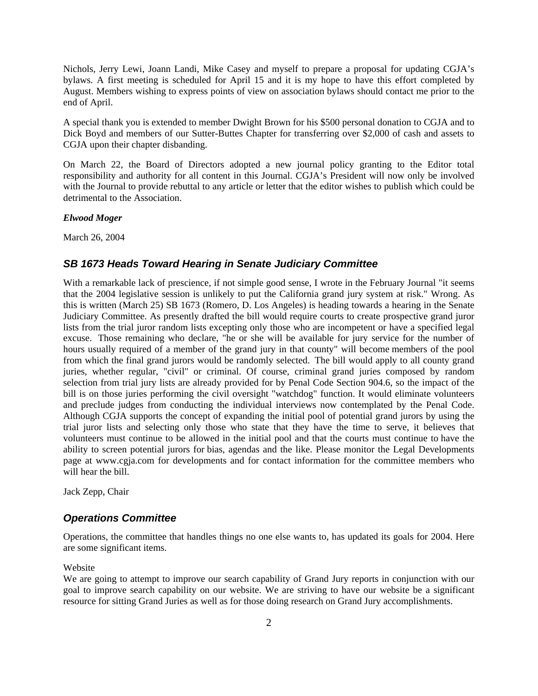Nichols, Jerry Lewi, Joann Landi, Mike Casey and myself to prepare a proposal for updating CGJA's bylaws. A first meeting is scheduled for April 15 and it is my hope to have this effort completed by August. Members wishing to express points of view on association bylaws should contact me prior to the end of April.

A special thank you is extended to member Dwight Brown for his \$500 personal donation to CGJA and to Dick Boyd and members of our Sutter-Buttes Chapter for transferring over \$2,000 of cash and assets to CGJA upon their chapter disbanding.

On March 22, the Board of Directors adopted a new journal policy granting to the Editor total responsibility and authority for all content in this Journal. CGJA's President will now only be involved with the Journal to provide rebuttal to any article or letter that the editor wishes to publish which could be detrimental to the Association.

*Elwood Moger*

March 26, 2004

### <span id="page-1-0"></span>*SB 1673 Heads Toward Hearing in Senate Judiciary Committee*

<span id="page-1-1"></span>With a remarkable lack of prescience, if not simple good sense, I wrote in the February Journal "it seems" that the 2004 legislative session is unlikely to put the California grand jury system at risk." Wrong. As this is written (March 25) SB 1673 (Romero, D. Los Angeles) is heading towards a hearing in the Senate Judiciary Committee. As presently drafted the bill would require courts to create prospective grand juror lists from the trial juror random lists excepting only those who are incompetent or have a specified legal excuse. Those remaining who declare, "he or she will be available for jury service for the number of hours usually required of a member of the grand jury in that county" will become members of the pool from which the final grand jurors would be randomly selected. The bill would apply to all county grand juries, whether regular, "civil" or criminal. Of course, criminal grand juries composed by random selection from trial jury lists are already provided for by Penal Code Section 904.6, so the impact of the bill is on those juries performing the civil oversight "watchdog" function. It would eliminate volunteers and preclude judges from conducting the individual interviews now contemplated by the Penal Code. Although CGJA supports the concept of expanding the initial pool of potential grand jurors by using the trial juror lists and selecting only those who state that they have the time to serve, it believes that volunteers must continue to be allowed in the initial pool and that the courts must continue to have the ability to screen potential jurors for bias, agendas and the like. Please monitor the Legal Developments page at www.cgja.com for developments and for contact information for the committee members who will hear the bill.

Jack Zepp, Chair

#### *Operations Committee*

Operations, the committee that handles things no one else wants to, has updated its goals for 2004. Here are some significant items.

#### Website

We are going to attempt to improve our search capability of Grand Jury reports in conjunction with our goal to improve search capability on our website. We are striving to have our website be a significant resource for sitting Grand Juries as well as for those doing research on Grand Jury accomplishments.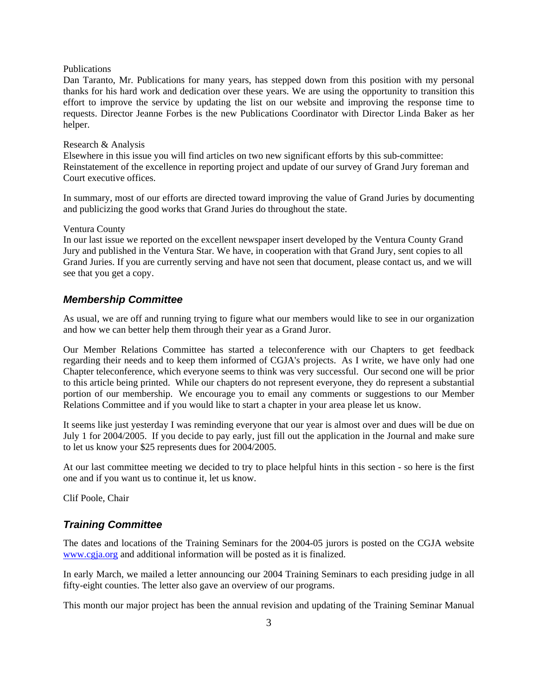#### Publications

Dan Taranto, Mr. Publications for many years, has stepped down from this position with my personal thanks for his hard work and dedication over these years. We are using the opportunity to transition this effort to improve the service by updating the list on our website and improving the response time to requests. Director Jeanne Forbes is the new Publications Coordinator with Director Linda Baker as her helper.

#### Research & Analysis

Elsewhere in this issue you will find articles on two new significant efforts by this sub-committee: Reinstatement of the excellence in reporting project and update of our survey of Grand Jury foreman and Court executive offices.

In summary, most of our efforts are directed toward improving the value of Grand Juries by documenting and publicizing the good works that Grand Juries do throughout the state.

#### Ventura County

In our last issue we reported on the excellent newspaper insert developed by the Ventura County Grand Jury and published in the Ventura Star. We have, in cooperation with that Grand Jury, sent copies to all Grand Juries. If you are currently serving and have not seen that document, please contact us, and we will see that you get a copy.

### <span id="page-2-0"></span>*Membership Committee*

As usual, we are off and running trying to figure what our members would like to see in our organization and how we can better help them through their year as a Grand Juror.

Our Member Relations Committee has started a teleconference with our Chapters to get feedback regarding their needs and to keep them informed of CGJA's projects. As I write, we have only had one Chapter teleconference, which everyone seems to think was very successful. Our second one will be prior to this article being printed. While our chapters do not represent everyone, they do represent a substantial portion of our membership. We encourage you to email any comments or suggestions to our Member Relations Committee and if you would like to start a chapter in your area please let us know.

It seems like just yesterday I was reminding everyone that our year is almost over and dues will be due on July 1 for 2004/2005. If you decide to pay early, just fill out the application in the Journal and make sure to let us know your \$25 represents dues for 2004/2005.

At our last committee meeting we decided to try to place helpful hints in this section - so here is the first one and if you want us to continue it, let us know.

Clif Poole, Chair

## <span id="page-2-1"></span>*Training Committee*

The dates and locations of the Training Seminars for the 2004-05 jurors is posted on the CGJA website [www.cgja.org](http://www.cgja.org/) and additional information will be posted as it is finalized.

In early March, we mailed a letter announcing our 2004 Training Seminars to each presiding judge in all fifty-eight counties. The letter also gave an overview of our programs.

This month our major project has been the annual revision and updating of the Training Seminar Manual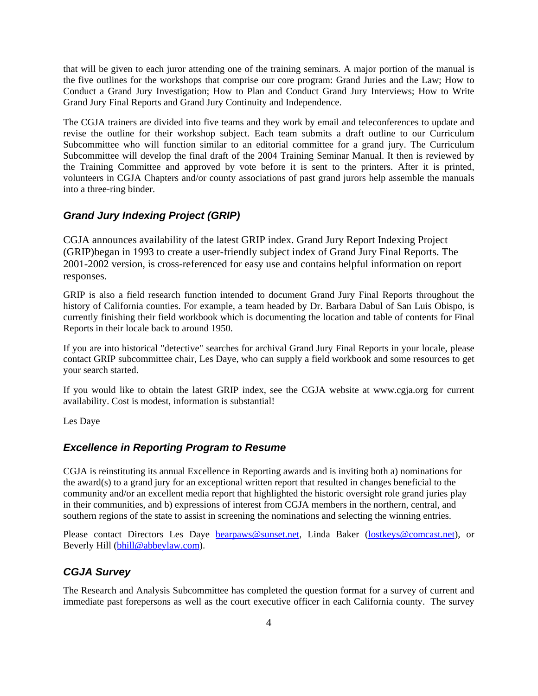that will be given to each juror attending one of the training seminars. A major portion of the manual is the five outlines for the workshops that comprise our core program: Grand Juries and the Law; How to Conduct a Grand Jury Investigation; How to Plan and Conduct Grand Jury Interviews; How to Write Grand Jury Final Reports and Grand Jury Continuity and Independence.

The CGJA trainers are divided into five teams and they work by email and teleconferences to update and revise the outline for their workshop subject. Each team submits a draft outline to our Curriculum Subcommittee who will function similar to an editorial committee for a grand jury. The Curriculum Subcommittee will develop the final draft of the 2004 Training Seminar Manual. It then is reviewed by the Training Committee and approved by vote before it is sent to the printers. After it is printed, volunteers in CGJA Chapters and/or county associations of past grand jurors help assemble the manuals into a three-ring binder.

# <span id="page-3-0"></span>*Grand Jury Indexing Project (GRIP)*

CGJA announces availability of the latest GRIP index. Grand Jury Report Indexing Project (GRIP)began in 1993 to create a user-friendly subject index of Grand Jury Final Reports. The 2001-2002 version, is cross-referenced for easy use and contains helpful information on report responses.

GRIP is also a field research function intended to document Grand Jury Final Reports throughout the history of California counties. For example, a team headed by Dr. Barbara Dabul of San Luis Obispo, is currently finishing their field workbook which is documenting the location and table of contents for Final Reports in their locale back to around 1950.

If you are into historical "detective" searches for archival Grand Jury Final Reports in your locale, please contact GRIP subcommittee chair, Les Daye, who can supply a field workbook and some resources to get your search started.

If you would like to obtain the latest GRIP index, see the CGJA website at www.cgja.org for current availability. Cost is modest, information is substantial!

Les Daye

## <span id="page-3-1"></span>*Excellence in Reporting Program to Resume*

CGJA is reinstituting its annual Excellence in Reporting awards and is inviting both a) nominations for the award(s) to a grand jury for an exceptional written report that resulted in changes beneficial to the community and/or an excellent media report that highlighted the historic oversight role grand juries play in their communities, and b) expressions of interest from CGJA members in the northern, central, and southern regions of the state to assist in screening the nominations and selecting the winning entries.

Please contact Directors Les Daye [bearpaws@sunset.net](http://us.f138.mail.yahoo.com/ym/Compose?To=bearpaws@sunset.net&YY=70244&order=down&sort=date&pos=1), Linda Baker [\(lostkeys@comcast.net\)](http://us.f138.mail.yahoo.com/ym/Compose?To=lostkeys@comcast.net&YY=70244&order=down&sort=date&pos=1), or Beverly Hill ([bhill@abbeylaw.com\).](http://us.f138.mail.yahoo.com/ym/Compose?To=bhill@abbeylaw.com&YY=70244&order=down&sort=date&pos=1)

### <span id="page-3-2"></span>*CGJA Survey*

The Research and Analysis Subcommittee has completed the question format for a survey of current and immediate past forepersons as well as the court executive officer in each California county. The survey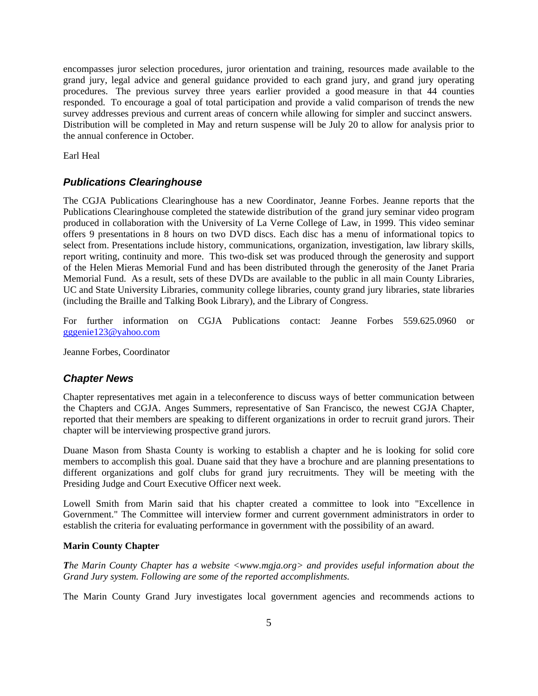encompasses juror selection procedures, juror orientation and training, resources made available to the grand jury, legal advice and general guidance provided to each grand jury, and grand jury operating procedures. The previous survey three years earlier provided a good measure in that 44 counties responded. To encourage a goal of total participation and provide a valid comparison of trends the new survey addresses previous and current areas of concern while allowing for simpler and succinct answers. Distribution will be completed in May and return suspense will be July 20 to allow for analysis prior to the annual conference in October.

Earl Heal

## <span id="page-4-0"></span>*Publications Clearinghouse*

The CGJA Publications Clearinghouse has a new Coordinator, Jeanne Forbes. Jeanne reports that the Publications Clearinghouse completed the statewide distribution of the grand jury seminar video program produced in collaboration with the University of La Verne College of Law, in 1999. This video seminar offers 9 presentations in 8 hours on two DVD discs. Each disc has a menu of informational topics to select from. Presentations include history, communications, organization, investigation, law library skills, report writing, continuity and more. This two-disk set was produced through the generosity and support of the Helen Mieras Memorial Fund and has been distributed through the generosity of the Janet Praria Memorial Fund. As a result, sets of these DVDs are available to the public in all main County Libraries, UC and State University Libraries, community college libraries, county grand jury libraries, state libraries (including the Braille and Talking Book Library), and the Library of Congress.

For further information on CGJA Publications contact: Jeanne Forbes 559.625.0960 or [gggenie123@yahoo.com](mailto:gggenie123@yahoo.com)

Jeanne Forbes, Coordinator

## <span id="page-4-1"></span>*Chapter News*

Chapter representatives met again in a teleconference to discuss ways of better communication between the Chapters and CGJA. Anges Summers, representative of San Francisco, the newest CGJA Chapter, reported that their members are speaking to different organizations in order to recruit grand jurors. Their chapter will be interviewing prospective grand jurors.

Duane Mason from Shasta County is working to establish a chapter and he is looking for solid core members to accomplish this goal. Duane said that they have a brochure and are planning presentations to different organizations and golf clubs for grand jury recruitments. They will be meeting with the Presiding Judge and Court Executive Officer next week.

Lowell Smith from Marin said that his chapter created a committee to look into "Excellence in Government." The Committee will interview former and current government administrators in order to establish the criteria for evaluating performance in government with the possibility of an award.

## **Marin County Chapter**

*The Marin County Chapter has a website <www.mgja.org> and provides useful information about the Grand Jury system. Following are some of the reported accomplishments.* 

The Marin County Grand Jury investigates local government agencies and recommends actions to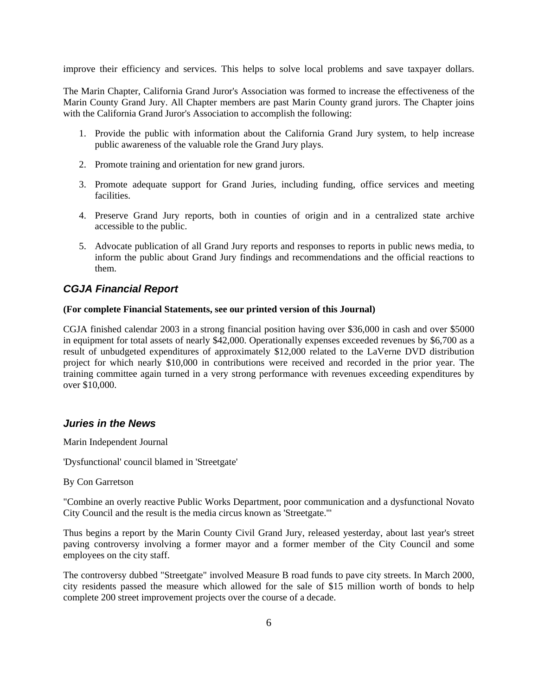improve their efficiency and services. This helps to solve local problems and save taxpayer dollars.

The Marin Chapter, California Grand Juror's Association was formed to increase the effectiveness of the Marin County Grand Jury. All Chapter members are past Marin County grand jurors. The Chapter joins with the California Grand Juror's Association to accomplish the following:

- 1. Provide the public with information about the California Grand Jury system, to help increase public awareness of the valuable role the Grand Jury plays.
- 2. Promote training and orientation for new grand jurors.
- 3. Promote adequate support for Grand Juries, including funding, office services and meeting facilities.
- 4. Preserve Grand Jury reports, both in counties of origin and in a centralized state archive accessible to the public.
- 5. Advocate publication of all Grand Jury reports and responses to reports in public news media, to inform the public about Grand Jury findings and recommendations and the official reactions to them.

# *CGJA Financial Report*

### **(For complete Financial Statements, see our printed version of this Journal)**

CGJA finished calendar 2003 in a strong financial position having over \$36,000 in cash and over \$5000 in equipment for total assets of nearly \$42,000. Operationally expenses exceeded revenues by \$6,700 as a result of unbudgeted expenditures of approximately \$12,000 related to the LaVerne DVD distribution project for which nearly \$10,000 in contributions were received and recorded in the prior year. The training committee again turned in a very strong performance with revenues exceeding expenditures by over \$10,000.

## <span id="page-5-0"></span>*Juries in the News*

Marin Independent Journal

'Dysfunctional' council blamed in 'Streetgate'

By Con Garretson

"Combine an overly reactive Public Works Department, poor communication and a dysfunctional Novato City Council and the result is the media circus known as 'Streetgate.'"

Thus begins a report by the Marin County Civil Grand Jury, released yesterday, about last year's street paving controversy involving a former mayor and a former member of the City Council and some employees on the city staff.

The controversy dubbed "Streetgate" involved Measure B road funds to pave city streets. In March 2000, city residents passed the measure which allowed for the sale of \$15 million worth of bonds to help complete 200 street improvement projects over the course of a decade.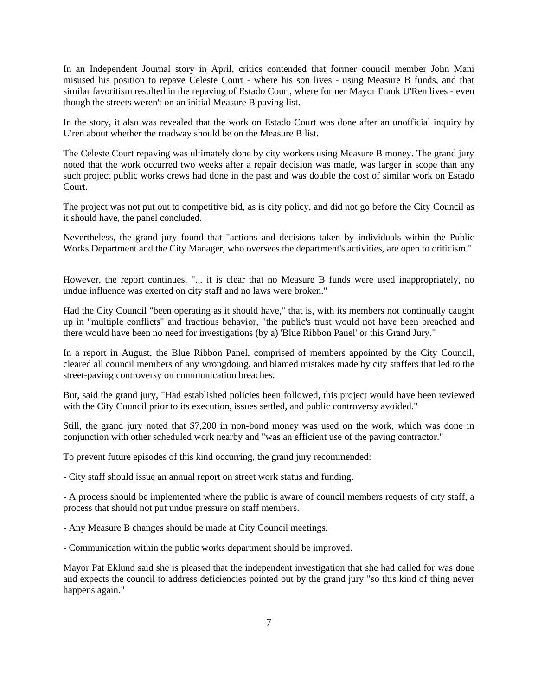In an Independent Journal story in April, critics contended that former council member John Mani misused his position to repave Celeste Court - where his son lives - using Measure B funds, and that similar favoritism resulted in the repaving of Estado Court, where former Mayor Frank U'Ren lives - even though the streets weren't on an initial Measure B paving list.

In the story, it also was revealed that the work on Estado Court was done after an unofficial inquiry by U'ren about whether the roadway should be on the Measure B list.

The Celeste Court repaving was ultimately done by city workers using Measure B money. The grand jury noted that the work occurred two weeks after a repair decision was made, was larger in scope than any such project public works crews had done in the past and was double the cost of similar work on Estado Court.

The project was not put out to competitive bid, as is city policy, and did not go before the City Council as it should have, the panel concluded.

Nevertheless, the grand jury found that "actions and decisions taken by individuals within the Public Works Department and the City Manager, who oversees the department's activities, are open to criticism."

However, the report continues, "... it is clear that no Measure B funds were used inappropriately, no undue influence was exerted on city staff and no laws were broken."

Had the City Council "been operating as it should have," that is, with its members not continually caught up in "multiple conflicts" and fractious behavior, "the public's trust would not have been breached and there would have been no need for investigations (by a) 'Blue Ribbon Panel' or this Grand Jury."

In a report in August, the Blue Ribbon Panel, comprised of members appointed by the City Council, cleared all council members of any wrongdoing, and blamed mistakes made by city staffers that led to the street-paving controversy on communication breaches.

But, said the grand jury, "Had established policies been followed, this project would have been reviewed with the City Council prior to its execution, issues settled, and public controversy avoided."

Still, the grand jury noted that \$7,200 in non-bond money was used on the work, which was done in conjunction with other scheduled work nearby and "was an efficient use of the paving contractor."

To prevent future episodes of this kind occurring, the grand jury recommended:

- City staff should issue an annual report on street work status and funding.

- A process should be implemented where the public is aware of council members requests of city staff, a process that should not put undue pressure on staff members.

- Any Measure B changes should be made at City Council meetings.

- Communication within the public works department should be improved.

Mayor Pat Eklund said she is pleased that the independent investigation that she had called for was done and expects the council to address deficiencies pointed out by the grand jury "so this kind of thing never happens again."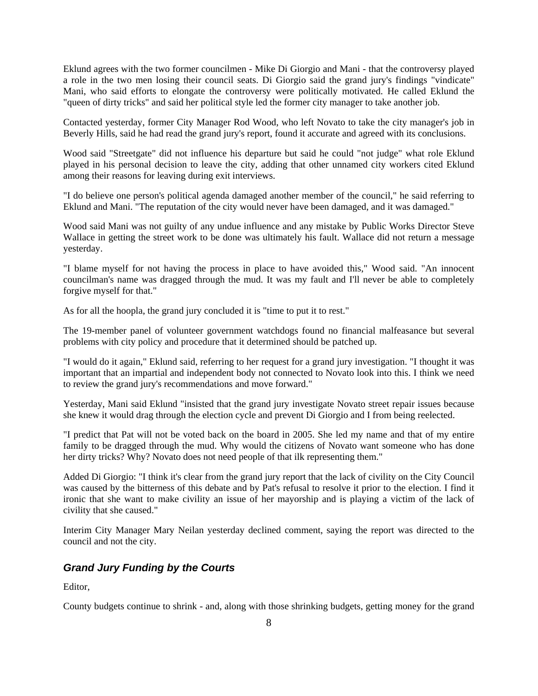Eklund agrees with the two former councilmen - Mike Di Giorgio and Mani - that the controversy played a role in the two men losing their council seats. Di Giorgio said the grand jury's findings "vindicate" Mani, who said efforts to elongate the controversy were politically motivated. He called Eklund the "queen of dirty tricks" and said her political style led the former city manager to take another job.

Contacted yesterday, former City Manager Rod Wood, who left Novato to take the city manager's job in Beverly Hills, said he had read the grand jury's report, found it accurate and agreed with its conclusions.

Wood said "Streetgate" did not influence his departure but said he could "not judge" what role Eklund played in his personal decision to leave the city, adding that other unnamed city workers cited Eklund among their reasons for leaving during exit interviews.

"I do believe one person's political agenda damaged another member of the council," he said referring to Eklund and Mani. "The reputation of the city would never have been damaged, and it was damaged."

Wood said Mani was not guilty of any undue influence and any mistake by Public Works Director Steve Wallace in getting the street work to be done was ultimately his fault. Wallace did not return a message yesterday.

"I blame myself for not having the process in place to have avoided this," Wood said. "An innocent councilman's name was dragged through the mud. It was my fault and I'll never be able to completely forgive myself for that."

As for all the hoopla, the grand jury concluded it is "time to put it to rest."

The 19-member panel of volunteer government watchdogs found no financial malfeasance but several problems with city policy and procedure that it determined should be patched up.

"I would do it again," Eklund said, referring to her request for a grand jury investigation. "I thought it was important that an impartial and independent body not connected to Novato look into this. I think we need to review the grand jury's recommendations and move forward."

Yesterday, Mani said Eklund "insisted that the grand jury investigate Novato street repair issues because she knew it would drag through the election cycle and prevent Di Giorgio and I from being reelected.

"I predict that Pat will not be voted back on the board in 2005. She led my name and that of my entire family to be dragged through the mud. Why would the citizens of Novato want someone who has done her dirty tricks? Why? Novato does not need people of that ilk representing them."

Added Di Giorgio: "I think it's clear from the grand jury report that the lack of civility on the City Council was caused by the bitterness of this debate and by Pat's refusal to resolve it prior to the election. I find it ironic that she want to make civility an issue of her mayorship and is playing a victim of the lack of civility that she caused."

Interim City Manager Mary Neilan yesterday declined comment, saying the report was directed to the council and not the city.

# <span id="page-7-0"></span>*Grand Jury Funding by the Courts*

Editor,

County budgets continue to shrink - and, along with those shrinking budgets, getting money for the grand